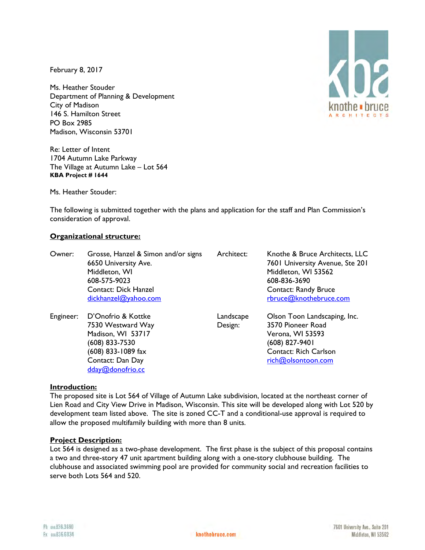February 8, 2017

Ms. Heather Stouder Department of Planning & Development City of Madison 146 S. Hamilton Street PO Box 2985 Madison, Wisconsin 53701

Re: Letter of Intent 1704 Autumn Lake Parkway The Village at Autumn Lake – Lot 564 **KBA Project # 1644**

Ms. Heather Stouder:

The following is submitted together with the plans and application for the staff and Plan Commission's consideration of approval.

# **Organizational structure:**

| Owner:    | Grosse, Hanzel & Simon and/or signs<br>6650 University Ave.<br>Middleton, WI<br>608-575-9023<br><b>Contact: Dick Hanzel</b><br>dickhanzel@yahoo.com | Architect:           | Knothe & Bruce Architects, LLC<br>7601 University Avenue, Ste 201<br>Middleton, WI 53562<br>608-836-3690<br><b>Contact: Randy Bruce</b><br>rbruce@knothebruce.com |
|-----------|-----------------------------------------------------------------------------------------------------------------------------------------------------|----------------------|-------------------------------------------------------------------------------------------------------------------------------------------------------------------|
| Engineer: | D'Onofrio & Kottke<br>7530 Westward Way<br>Madison, WI 53717<br>(608) 833-7530<br>(608) 833-1089 fax<br>Contact: Dan Day<br>dday@donofrio.cc        | Landscape<br>Design: | Olson Toon Landscaping, Inc.<br>3570 Pioneer Road<br>Verona, WI 53593<br>(608) 827-9401<br><b>Contact: Rich Carlson</b><br>rich@olsontoon.com                     |

#### **Introduction:**

The proposed site is Lot 564 of Village of Autumn Lake subdivision, located at the northeast corner of Lien Road and City View Drive in Madison, Wisconsin. This site will be developed along with Lot 520 by development team listed above. The site is zoned CC-T and a conditional-use approval is required to allow the proposed multifamily building with more than 8 units.

#### **Project Description:**

Lot 564 is designed as a two-phase development. The first phase is the subject of this proposal contains a two and three-story 47 unit apartment building along with a one-story clubhouse building. The clubhouse and associated swimming pool are provided for community social and recreation facilities to serve both Lots 564 and 520.

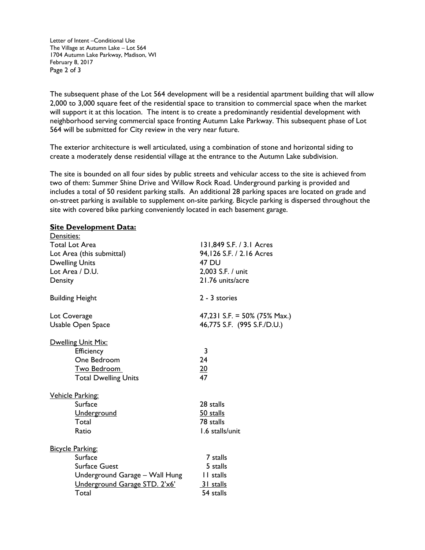Letter of Intent –Conditional Use The Village at Autumn Lake – Lot 564 1704 Autumn Lake Parkway, Madison, WI February 8, 2017 Page 2 of 3

The subsequent phase of the Lot 564 development will be a residential apartment building that will allow 2,000 to 3,000 square feet of the residential space to transition to commercial space when the market will support it at this location. The intent is to create a predominantly residential development with neighborhood serving commercial space fronting Autumn Lake Parkway. This subsequent phase of Lot 564 will be submitted for City review in the very near future.

The exterior architecture is well articulated, using a combination of stone and horizontal siding to create a moderately dense residential village at the entrance to the Autumn Lake subdivision.

The site is bounded on all four sides by public streets and vehicular access to the site is achieved from two of them: Summer Shine Drive and Willow Rock Road. Underground parking is provided and includes a total of 50 resident parking stalls. An additional 28 parking spaces are located on grade and on-street parking is available to supplement on-site parking. Bicycle parking is dispersed throughout the site with covered bike parking conveniently located in each basement garage.

### **Site Development Data:**

| Densities:                     |                              |  |
|--------------------------------|------------------------------|--|
| <b>Total Lot Area</b>          | 131,849 S.F. / 3.1 Acres     |  |
| Lot Area (this submittal)      | 94,126 S.F. / 2.16 Acres     |  |
| <b>Dwelling Units</b>          | <b>47 DU</b>                 |  |
| Lot Area / D.U.                | 2,003 S.F. / unit            |  |
| Density                        | 21.76 units/acre             |  |
|                                |                              |  |
| <b>Building Height</b>         | 2 - 3 stories                |  |
|                                |                              |  |
| Lot Coverage                   | 47,231 S.F. = 50% (75% Max.) |  |
| Usable Open Space              | 46,775 S.F. (995 S.F./D.U.)  |  |
| Dwelling Unit Mix:             |                              |  |
| Efficiency                     | 3                            |  |
| One Bedroom                    | 24                           |  |
|                                |                              |  |
| <u>Two Bedroom</u>             | <u>20</u>                    |  |
| <b>Total Dwelling Units</b>    | 47                           |  |
| <b>Vehicle Parking:</b>        |                              |  |
| Surface                        | 28 stalls                    |  |
| <b>Underground</b>             | 50 stalls                    |  |
| Total                          | 78 stalls                    |  |
| Ratio                          | 1.6 stalls/unit              |  |
|                                |                              |  |
| <b>Bicycle Parking:</b>        |                              |  |
| Surface                        | 7 stalls                     |  |
| <b>Surface Guest</b>           | 5 stalls                     |  |
| Underground Garage - Wall Hung | II stalls                    |  |
| Underground Garage STD. 2'x6'  | 31 stalls                    |  |
| Total                          | 54 stalls                    |  |